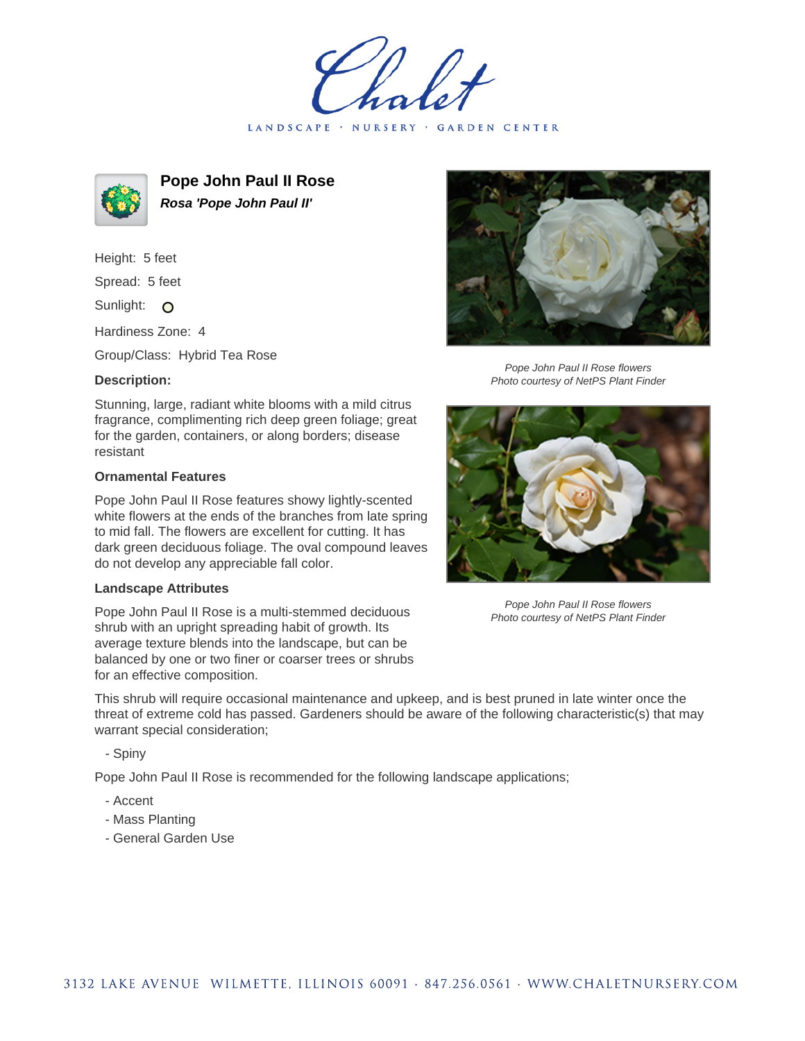LANDSCAPE · NURSERY · GARDEN CENTER



**Pope John Paul II Rose Rosa 'Pope John Paul II'**

Height: 5 feet Spread: 5 feet

Sunlight: O

Hardiness Zone: 4

Group/Class: Hybrid Tea Rose

## **Description:**

Stunning, large, radiant white blooms with a mild citrus fragrance, complimenting rich deep green foliage; great for the garden, containers, or along borders; disease resistant

## **Ornamental Features**

Pope John Paul II Rose features showy lightly-scented white flowers at the ends of the branches from late spring to mid fall. The flowers are excellent for cutting. It has dark green deciduous foliage. The oval compound leaves do not develop any appreciable fall color.

## **Landscape Attributes**

Pope John Paul II Rose is a multi-stemmed deciduous shrub with an upright spreading habit of growth. Its average texture blends into the landscape, but can be balanced by one or two finer or coarser trees or shrubs for an effective composition.

This shrub will require occasional maintenance and upkeep, and is best pruned in late winter once the threat of extreme cold has passed. Gardeners should be aware of the following characteristic(s) that may warrant special consideration;

- Spiny

Pope John Paul II Rose is recommended for the following landscape applications;

- Accent
- Mass Planting
- General Garden Use



Pope John Paul II Rose flowers Photo courtesy of NetPS Plant Finder



Pope John Paul II Rose flowers Photo courtesy of NetPS Plant Finder